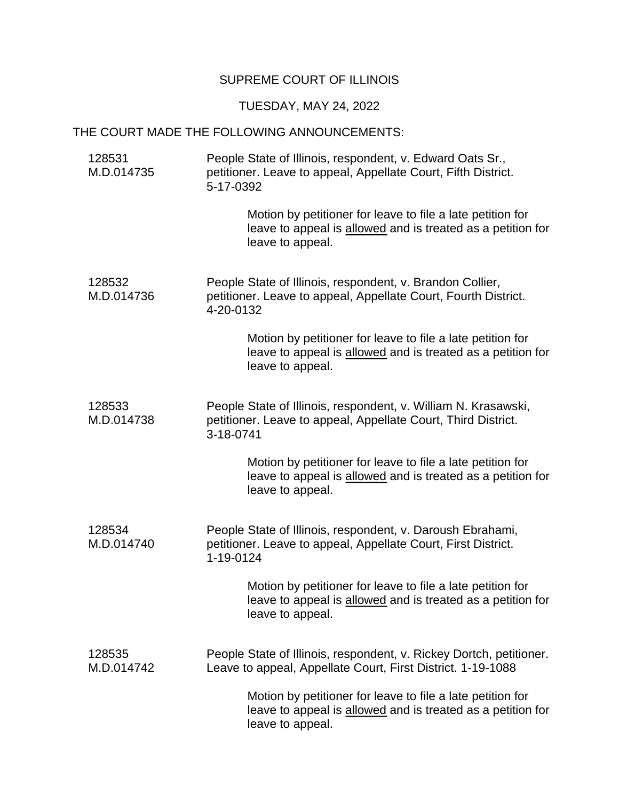## SUPREME COURT OF ILLINOIS

## TUESDAY, MAY 24, 2022

## THE COURT MADE THE FOLLOWING ANNOUNCEMENTS:

| 128531<br>M.D.014735 | People State of Illinois, respondent, v. Edward Oats Sr.,<br>petitioner. Leave to appeal, Appellate Court, Fifth District.<br>5-17-0392       |
|----------------------|-----------------------------------------------------------------------------------------------------------------------------------------------|
|                      | Motion by petitioner for leave to file a late petition for<br>leave to appeal is allowed and is treated as a petition for<br>leave to appeal. |
| 128532<br>M.D.014736 | People State of Illinois, respondent, v. Brandon Collier,<br>petitioner. Leave to appeal, Appellate Court, Fourth District.<br>4-20-0132      |
|                      | Motion by petitioner for leave to file a late petition for<br>leave to appeal is allowed and is treated as a petition for<br>leave to appeal. |
| 128533<br>M.D.014738 | People State of Illinois, respondent, v. William N. Krasawski,<br>petitioner. Leave to appeal, Appellate Court, Third District.<br>3-18-0741  |
|                      | Motion by petitioner for leave to file a late petition for<br>leave to appeal is allowed and is treated as a petition for<br>leave to appeal. |
| 128534<br>M.D.014740 | People State of Illinois, respondent, v. Daroush Ebrahami,<br>petitioner. Leave to appeal, Appellate Court, First District.<br>1-19-0124      |
|                      | Motion by petitioner for leave to file a late petition for<br>leave to appeal is allowed and is treated as a petition for<br>leave to appeal. |
| 128535<br>M.D.014742 | People State of Illinois, respondent, v. Rickey Dortch, petitioner.<br>Leave to appeal, Appellate Court, First District. 1-19-1088            |
|                      | Motion by petitioner for leave to file a late petition for<br>leave to appeal is allowed and is treated as a petition for<br>leave to appeal. |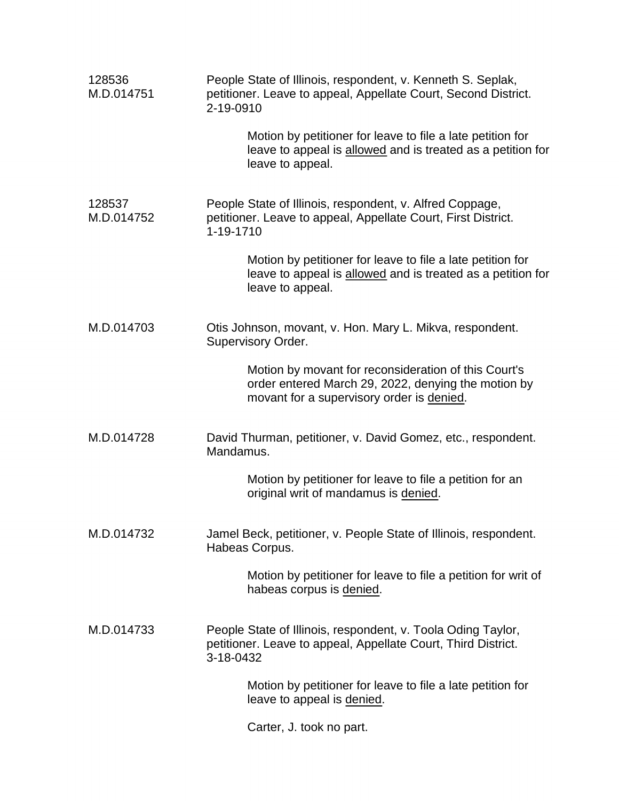| 128536<br>M.D.014751 | People State of Illinois, respondent, v. Kenneth S. Seplak,<br>petitioner. Leave to appeal, Appellate Court, Second District.<br>2-19-0910               |
|----------------------|----------------------------------------------------------------------------------------------------------------------------------------------------------|
|                      | Motion by petitioner for leave to file a late petition for<br>leave to appeal is allowed and is treated as a petition for<br>leave to appeal.            |
| 128537<br>M.D.014752 | People State of Illinois, respondent, v. Alfred Coppage,<br>petitioner. Leave to appeal, Appellate Court, First District.<br>1-19-1710                   |
|                      | Motion by petitioner for leave to file a late petition for<br>leave to appeal is allowed and is treated as a petition for<br>leave to appeal.            |
| M.D.014703           | Otis Johnson, movant, v. Hon. Mary L. Mikva, respondent.<br>Supervisory Order.                                                                           |
|                      | Motion by movant for reconsideration of this Court's<br>order entered March 29, 2022, denying the motion by<br>movant for a supervisory order is denied. |
| M.D.014728           | David Thurman, petitioner, v. David Gomez, etc., respondent.<br>Mandamus.                                                                                |
|                      | Motion by petitioner for leave to file a petition for an<br>original writ of mandamus is denied.                                                         |
| M.D.014732           | Jamel Beck, petitioner, v. People State of Illinois, respondent.<br>Habeas Corpus.                                                                       |
|                      | Motion by petitioner for leave to file a petition for writ of<br>habeas corpus is denied.                                                                |
| M.D.014733           | People State of Illinois, respondent, v. Toola Oding Taylor,<br>petitioner. Leave to appeal, Appellate Court, Third District.<br>3-18-0432               |
|                      | Motion by petitioner for leave to file a late petition for<br>leave to appeal is denied.                                                                 |
|                      | Carter, J. took no part.                                                                                                                                 |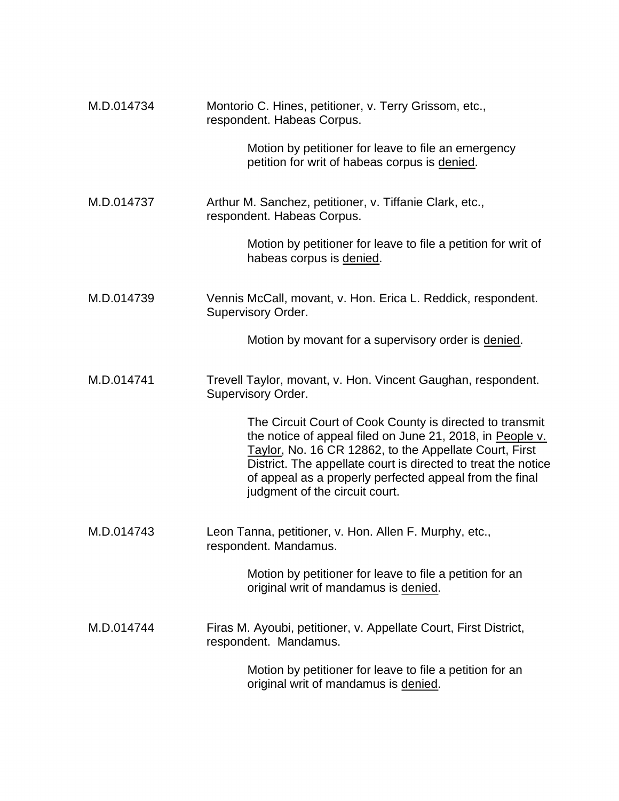| M.D.014734 | Montorio C. Hines, petitioner, v. Terry Grissom, etc.,<br>respondent. Habeas Corpus.                                                                                                                                                                                                                                                          |
|------------|-----------------------------------------------------------------------------------------------------------------------------------------------------------------------------------------------------------------------------------------------------------------------------------------------------------------------------------------------|
|            | Motion by petitioner for leave to file an emergency<br>petition for writ of habeas corpus is denied.                                                                                                                                                                                                                                          |
| M.D.014737 | Arthur M. Sanchez, petitioner, v. Tiffanie Clark, etc.,<br>respondent. Habeas Corpus.                                                                                                                                                                                                                                                         |
|            | Motion by petitioner for leave to file a petition for writ of<br>habeas corpus is denied.                                                                                                                                                                                                                                                     |
| M.D.014739 | Vennis McCall, movant, v. Hon. Erica L. Reddick, respondent.<br>Supervisory Order.                                                                                                                                                                                                                                                            |
|            | Motion by movant for a supervisory order is denied.                                                                                                                                                                                                                                                                                           |
| M.D.014741 | Trevell Taylor, movant, v. Hon. Vincent Gaughan, respondent.<br>Supervisory Order.                                                                                                                                                                                                                                                            |
|            | The Circuit Court of Cook County is directed to transmit<br>the notice of appeal filed on June 21, 2018, in People v.<br>Taylor, No. 16 CR 12862, to the Appellate Court, First<br>District. The appellate court is directed to treat the notice<br>of appeal as a properly perfected appeal from the final<br>judgment of the circuit court. |
| M.D.014743 | Leon Tanna, petitioner, v. Hon. Allen F. Murphy, etc.,<br>respondent. Mandamus.                                                                                                                                                                                                                                                               |
|            | Motion by petitioner for leave to file a petition for an<br>original writ of mandamus is denied.                                                                                                                                                                                                                                              |
| M.D.014744 | Firas M. Ayoubi, petitioner, v. Appellate Court, First District,<br>respondent. Mandamus.                                                                                                                                                                                                                                                     |
|            | Motion by petitioner for leave to file a petition for an<br>original writ of mandamus is denied.                                                                                                                                                                                                                                              |